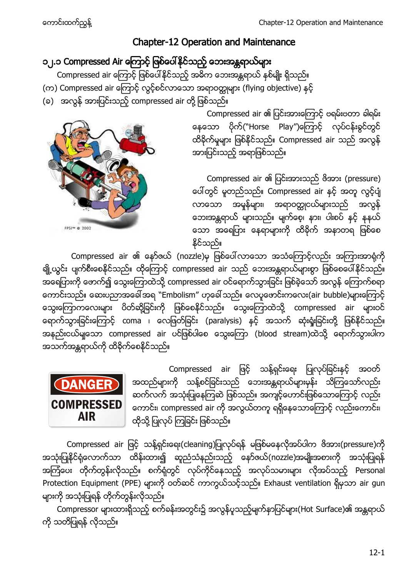# Chapter-12 Operation and Maintenance

# ၁၂.၁ Compressed Air ကြောင့် ဖြစ်ပေါ်နိုင်သည့် ဘေးအန္တရာယ်များ

Compressed air ကြောင့် ဖြစ်ပေါ်နိုင်သည့် အဓိက ဘေးအန္တရာယ် နှစ်မျိုး ရှိသည်။

- (က) Compressed air ကြောင့် လွင့်စင်လာသော အရာဝတ္ထုများ (flying objective) နင့်
- (ခ) အလွန် အားပြင်းသည့် compressed air တို့ ဖြစ်သည်။



Compressed air ၏ ပြင်းအားကြောင့် ဗရမ်းဗတာ ခါရမ်း နေသော ပိုက်("Horse Play")ကြောင့် လုပ်ငန်းခွင်တွင် ထိခိုက်မှုများ ဖြစ်နိုင်သည်။ Compressed air သည် အလွန် အားပြင်းသည့် အရာဖြစ်သည်။

Compressed air ၏ ပြင်းအားသည် ဗိအား (pressure) ပေါ်တွင် မူတည်သည်။ Compressed air နှင့် အတူ လွင့်ပျံ လာသော အမှုန်များ၊ အရာဝတ္ထုငယ်များသည် အလွန် ဘေးအန္တရာယ် များသည်။ မျက်စေ့၊ နား၊ ပါးစပ် နှင့် နနယ် သော အရေပြား နေရာများကို ထိခိုက် အနာတရ ဖြစ်စေ နိုင်သည်။

Compressed air ၏ နော်ဇယ် (nozzle)မှ ဖြစ်ပေါ်လာသော အသံကြောင့်လည်း အကြားအာရုံကို ချို့ယွင်း ပျက်စီးစေနိုင်သည်။ ထိုကြောင့် compressed air သည် ဘေးအန္တရာယ်များစွာ ဖြစ်စေပေါ်နိုင်သည်။ ္မွာ<br>အရေပြားကို ဖောက်၍ သွေးကြောထဲသို့ compressed air ဝင်ရောက်သွားခြင်း ဖြစ်ခဲ့သော် အလွန် ကြောက်စရာ ကောင်းသည်။ ဆေးပညာအခေါ် အရ ``Embolism" ဟုခေါ် သည်။ လေပူဖောင်းကလေး(air bubble)များကြောင့် သွေးကြောကလေးများ ပိတ်ဆို့ခြင်းကို ဖြစ်စေနိုင်သည်။ သွေးကြောထဲသို့ compressed air များဝင် ရောက်သွားခြင်းကြောင့် coma ၊ လေဖြတ်ခြင်း (paralysis) နှင့် အသက် ဆုံးရှုံးခြင်းတို့ ဖြစ်နိုင်သည်။ အနည်းငယ်မျသော compressed air ပင်ဖြစ်ပါစေ သွေးကြော (blood stream)ထဲသို့ ရောက်သွားပါက အသက်အန္တရာယ်ကို ထိခိုက်စေနိုင်သည်။



Compressed air ဖြင့် သန့်ရှင်းရေး ပြုလုပ်ခြင်းနှင့် အဝတ် အထည်များကို သန့်စင်ခြင်းသည် ဘေးအန္တရာယ်များမှန်း သိကြသော်လည်း ဆက်လက် အသုံးပြုနေကြဆဲ ဖြစ်သည်။ အကျင့်ဟောင်းဖြစ်သောကြောင့် လည်း ကောင်း၊ compressed air ကို အလွယ်တကူ ရရှိနေသောကြောင့် လည်းကောင်း၊ ထိုသို့ ပြုလုပ် ကြခြင်း ဖြစ်သည်။

Compressed air ဖြင့် သန့်ရှင်းရေး(cleaning)ပြုလုပ်ရန် မဖြစ်မနေလိုအပ်ပါက ဖိအား(pressure)ကို အသုံးပြုနိုင်ရုံလောက်သာ ထိန်းထား၍ ဆူညံသံနည်းသည့် နော်ဇယ်(nozzle)အမျိုးအစားကို အသုံးပြုရန် အကြံပေး တိုက်တွန်းလိုသည်။ စက်ရုံတွင် လုပ်ကိုင်နေသည့် အလုပ်သမားများ လိုအပ်သည့် Personal Protection Equipment (PPE) များကို ဝတ်ဆင် ကာကွယ်သင့်သည်။ Exhaust ventilation ရှိမှသာ air gun များကို အသုံးပြုရန် တိုက်တွန်းလိုသည်။

Compressor များထားရှိသည့် စက်ခန်းအတွင်း၌ အလွန်ပူသည့်မျက်နှာပြင်များ(Hot Surface)၏ အန္တရာယ် ကို သတိပြုရန် လိုသည်။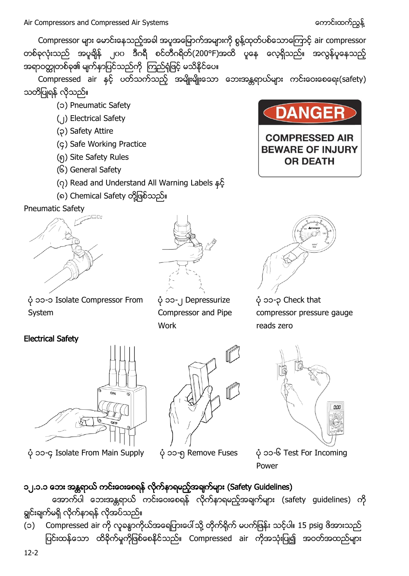Compressor များ မောင်းနေသည့်အခါ အပူအမြောက်အများကို စွန့်ထုတ်ပစ်သောကြောင့် air compressor တစ်ခုလုံးသည် အပူချိန် ၂၀၀ ဒီဂရီ စင်တီဂရိတ်(200°F)အထိ ပူနေ လေ့ရှိသည်။ အလွန်ပူနေသည့် အရာဝတ္ထုတစ်ခု၏ မျက်နာပြင်သည်ကို ကြည်ရုံဖြင့် မသိနိုင်ပေ။

Compressed air နှင့် ပတ်သက်သည့် အမျိုးမျိုးသော ဘေးအန္တရာယ်များ ကင်းဝေးစေရေး(safety) သတိပြုရန် လိုသည်။

- (၁) Pneumatic Safety
- (၂) Electrical Safety
- (၃) Safety Attire
- (၄) Safe Working Practice
- (၅) Site Safety Rules
- (၆) General Safety
- (၇) Read and Understand All Warning Labels
- (၈) Chemical Safety တို့ဖြစ်သည်။

### Pneumatic Safety





**DANGER** 

**COMPRESSED AIR BEWARE OF INJURY OR DEATH** 

 ၁၁-၁ Isolate Compressor From System

### Electrical Safety



ပုံ ၁၁-၄ Isolate From Main Supply ပုံ ၁၁-၅ Remove Fuses ပုံ ၁၁-၆ Test For Incoming



 ၁၁-၂ Depressurize Compressor and Pipe Work

 ၁၁-၃ Check that compressor pressure gauge reads zero



Power

# ၁၂.၁.၁ ဘေး အန္တရာယ် ကင်းဝေးစေရန် လိုက်နာရမည့်အချက်များ (Safety Guidelines)

အောက်ပါ ဘေးအန္တရာယ် ကင်းဝေးစေရန် လိုက်နာရမည့်အချက်များ (safety guidelines) ကို ချင်းချက်မရှိ လိုက်နာရန် လိုအပ်သည်။

(၁) Compressed air ကို လူခန္ဓာကိုယ်အရေပြားပေါ် သို့ တိုက်ရိုက် မပက်ဖြန်း သင့်ပါ။ 15 psig ဖိအားသည် ပြင်းထန်သော ထိခိုက်မှုကိုဖြစ်စေနိုင်သည်။ Compressed air ကိုအသုံးပြု၍ အဝတ်အထည်များ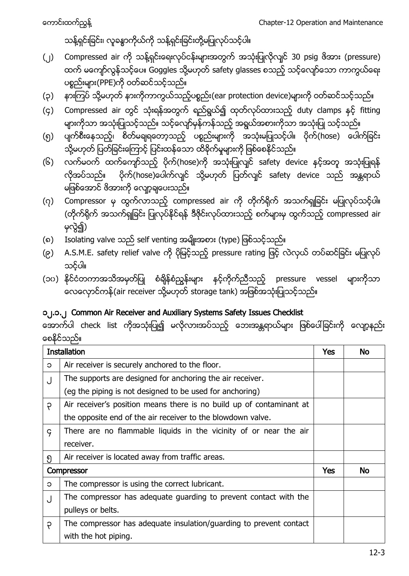# သန့်ရှင်းခြင်း၊ လူခန္ဓာကိုယ်ကို သန့်ရှင်းခြင်းတို့မပြုလုပ်သင့်ပါ။

- (၂) Compressed air ကို သန့်ရှင်းရေးလုပ်ငန်းများအတွက် အသုံးပြုလိုလျင် 30 psig ဖိအား (pressure) ထက် မကျော်လွန်သင့်ပေ။ Goggles သို့မဟုတ် safety glasses စသည့် သင့်လျော်သော ကာကွယ်ရေး ပစ္စည်းများ(PPE)ကို ဝတ်ဆင်သင့်သည်။
- (၃) နားကြပ် သို့မဟုတ် နားကိုကာကွယ်သည့်ပစ္စည်း(ear protection device)များကို ဝတ်ဆင်သင့်သည်။
- (၄) Compressed air တွင် သုံးရန်အတွက် ရည်ရွယ်၍ ထုတ်လုပ်ထားသည့် duty clamps နှင့် fitting များကိုသာ အသုံးပြုသင့်သည်။ သင့်လျော်မှန်ကန်သည့် အရွယ်အစားကိုသာ အသုံးပြု သင့်သည်။
- (၅) ပျက်စီးနေသည့်၊ စိတ်မချရတော့သည့် ပစ္စည်းများကို အသုံးမပြုသင့်ပါ။ ပိုက်(hose) ပေါက်ခြင်း သို့မဟုတ် ပြတ်ခြင်းကြောင့် ပြင်းထန်သော ထိခိုက်မှုများကို ဖြစ်စေနိုင်သည်။
- (၆) လက်မဝက် ထက်ကျော်သည့် ပိုက်(hose)ကို အသုံးပြုလျင် safety device နင့်အတူ အသုံးပြုရန် လိုအပ်သည်။ ပိုက်(hose)ပေါက်လျင် သို့မဟုတ် ပြတ်လျင် safety device သည် အန္တရာယ် မဖြစ်အောင် ဖိအားကို လျော့ချပေးသည်။
- (၇) Compressor မှ ထွက်လာသည့် compressed air ကို တိုက်ရိုက် အသက်ရှုခြင်း မပြုလုပ်သင့်ပါ။ (တိုက်ရိုက် အသက်ရှုခြင်း ပြုလုပ်နိုင်ရန် ဒီဇိုင်းလုပ်ထားသည့် စက်များမှ ထွက်သည့် compressed air မှလွဲ၍)
- (၈) Isolating valve သည် self venting အမျိုးအစား (type) ဖြစ်သင့်သည်။
- (၉) A.S.M.E. safety relief valve ကို ပိုမြင့်သည့် pressure rating ဖြင့် လဲလှယ် တပ်ဆင်ခြင်း မပြုလုပ် သင့်ပါ။
- (၁၀) နိုင်ငံတကာအသိအမှတ်ပြု စံချိန်စံညွန်းများ နင့်ကိုက်ညီသည့် pressure vessel များကိုသာ လေလှောင်ကန်(air receiver သို့မဟုတ် storage tank) အဖြစ်အသုံးပြုသင့်သည်။

### ၁၂.၁.၂ Common Air Receiver and Auxiliary Systems Safety Issues Checklist

အောက်ပါ check list ကိုအသုံးပြု၍ မလိုလားအပ်သည့် ဘေးအန္တရာယ်များ ဖြစ်ပေါ်ခြင်းကို လျော့နည်း စေနိုင်သည်။

| <b>Installation</b> |                                                                      | Yes | No |
|---------------------|----------------------------------------------------------------------|-----|----|
| $\circ$             | Air receiver is securely anchored to the floor.                      |     |    |
| J                   | The supports are designed for anchoring the air receiver.            |     |    |
|                     | (eg the piping is not designed to be used for anchoring)             |     |    |
| ę                   | Air receiver's position means there is no build up of contaminant at |     |    |
|                     | the opposite end of the air receiver to the blowdown valve.          |     |    |
| $\varsigma$         | There are no flammable liquids in the vicinity of or near the air    |     |    |
|                     | receiver.                                                            |     |    |
| ၅                   | Air receiver is located away from traffic areas.                     |     |    |
|                     | Compressor                                                           | Yes | No |
| C                   | The compressor is using the correct lubricant.                       |     |    |
| J                   | The compressor has adequate guarding to prevent contact with the     |     |    |
|                     | pulleys or belts.                                                    |     |    |
| $\varphi$           | The compressor has adequate insulation/guarding to prevent contact   |     |    |
|                     | with the hot piping.                                                 |     |    |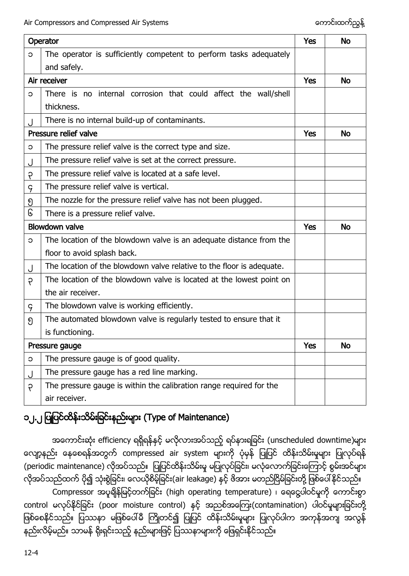| Operator    |                                                                       | <b>Yes</b> | <b>No</b> |
|-------------|-----------------------------------------------------------------------|------------|-----------|
| C           | The operator is sufficiently competent to perform tasks adequately    |            |           |
|             | and safely.                                                           |            |           |
|             | Air receiver                                                          | <b>Yes</b> | <b>No</b> |
| C           | There is no internal corrosion that could affect the wall/shell       |            |           |
|             | thickness.                                                            |            |           |
|             | There is no internal build-up of contaminants.                        |            |           |
|             | Pressure relief valve                                                 |            | No        |
| C           | The pressure relief valve is the correct type and size.               |            |           |
|             | The pressure relief valve is set at the correct pressure.             |            |           |
| ę           | The pressure relief valve is located at a safe level.                 |            |           |
| $\varsigma$ | The pressure relief valve is vertical.                                |            |           |
| ၅           | The nozzle for the pressure relief valve has not been plugged.        |            |           |
| િ           | There is a pressure relief valve.                                     |            |           |
|             | <b>Blowdown valve</b>                                                 |            |           |
|             |                                                                       | Yes        | <b>No</b> |
| C           | The location of the blowdown valve is an adequate distance from the   |            |           |
|             | floor to avoid splash back.                                           |            |           |
| J           | The location of the blowdown valve relative to the floor is adequate. |            |           |
| ę           | The location of the blowdown valve is located at the lowest point on  |            |           |
|             | the air receiver.                                                     |            |           |
| 9           | The blowdown valve is working efficiently.                            |            |           |
| ၅           | The automated blowdown valve is regularly tested to ensure that it    |            |           |
|             | is functioning.                                                       |            |           |
|             | Pressure gauge                                                        | <b>Yes</b> | <b>No</b> |
| C           | The pressure gauge is of good quality.                                |            |           |
| J           | The pressure gauge has a red line marking.                            |            |           |
| ę           | The pressure gauge is within the calibration range required for the   |            |           |

# ၁၂.၂ ပြုပြင်ထိန်းသိမ်းခြင်းနည်းများ (Type of Maintenance)

အကောင်းဆုံး efficiency ရရှိရန်နှင့် မလိုလားအပ်သည့် ရပ်နားရခြင်း (unscheduled downtime)များ လျော့နည်း နေစေရန်အတွက် compressed air system များကို ပုံမှန် ပြုပြင် ထိန်းသိမ်းမှုများ ပြုလုပ်ရန် (periodic maintenance) လိုအပ်သည်။ ပြုပြင်ထိန်းသိမ်းမှု မပြုလုပ်ခြင်း၊ မလုံလောက်ခြင်းကြောင့် စွမ်းအင်များ လိုအပ်သည်ထက် ပို၍ သုံးစွဲခြင်း၊ လေယိုစိမ့်ခြင်း(air leakage) နှင့် ဖိအား မတည်ငြိမ်ခြင်းတို့ ဖြစ်ပေါ်နိုင်သည်။ Compressor အပူချိန်မြင့်တက်ခြင်း (high operating temperature) ၊ ရေငွေပါဝင်မှုကို ကောင်းစွာ control မလုပ်နိုင်ခြင်း (poor moisture control) နှင့် အညစ်အကြေး(contamination) ပါဝင်မှုများခြင်းတို့ ဖြစ်စေနိုင်သည်။ ပြဿနာ မဖြစ်ပေါ်မီ ကြိုတင်၍ ပြုပြင် ထိန်းသိမ်းမှုများ ပြုလုပ်ပါက အကုန်အကျ အလွန် နည်းလိမ့်မည်။ သာမန် ရိုးရှင်းသည့် နည်းများဖြင့် ပြဿနာများကို ဖြေရှင်းနိုင်သည်။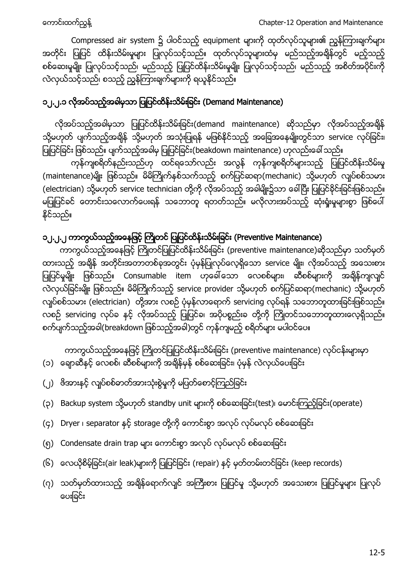Compressed air system ၌ ပါဝင်သည့် equipment များကို ထုတ်လုပ်သူများ၏ ညွန်ကြားချက်များ အတိုင်း ပြုပြင် ထိန်းသိမ်းမှုများ ပြုလုပ်သင့်သည်။ ထုတ်လုပ်သူများထံမှ မည်သည့်အချိန်တွင် မည့်သည့် စစ်ဆေးမှုမျိုး ပြုလုပ်သင့်သည်၊ မည်သည့် ပြုပြင်ထိန်းသိမ်းမှုမျိုး ပြုလုပ်သင့်သည်၊ မည်သည့် အစိတ်အပိုင်းကို လဲလှယ်သင့်သည်၊ စသည့် ညွှန်ကြားချက်များကို ရယူနိုင်သည်။

# ၁၂.၂.၁ လိုအပ်သည့်အခါမှသာ ပြုပြင်ထိန်းသိမ်းခြင်း (Demand Maintenance)

လိုအပ်သည့်အခါမှသာ ပြုပြင်ထိန်းသိမ်းခြင်း(demand maintenance) ဆိုသည်မှာ လိုအပ်သည့်အချိန် သို့မဟုတ် ပျက်သည့်အချိန် သို့မဟုတ် အသုံးပြုရန် မဖြစ်နိုင်သည့် အခြေအနေမျိုးတွင်သာ service လုပ်ခြင်း၊ ပြုပြင်ခြင်း ဖြစ်သည်။ ပျက်သည့်အခါမှ ပြုပြင်ခြင်း(beakdown maintenance) ဟုလည်းခေါ် သည်။

ကုန်ကျစရိတ်နည်းသည်ဟု ထင်ရသော်လည်း အလွန် ကုန်ကျစရိတ်များသည့် ပြုပြင်ထိန်းသိမ်းမှု (maintenance)မျိုး ဖြစ်သည်။ မိမိကြိုက်နှစ်သက်သည့် စက်ပြင်ဆရာ(mechanic) သို့မဟုတ် လျှပ်စစ်သမား (electrician) သို့မဟုတ် service technician တို့ကို လိုအပ်သည့် အခါမျိုး၌သာ ခေါ်ပြီး ပြုပြင်နိုင်းခြင်းဖြစ်သည်။ .<br>မပြုပြင်ခင် တောင်းသလောက်ပေးရန် သဘောတူ ရတတ်သည်။ မလိုလားအပ်သည့် ဆုံးရှုံးမှုများစွာ ဖြစ်ပေါ် နိုင်သည်။

## ၁၂.၂.၂ ကာကွယ်သည့်အနေဖြင့် ကြိုတင် ပြုပြင်ထိန်းသိမ်းခြင်း (Preventive Maintenance)

ကာကွယ်သည့်အနေဖြင့် ကြိုတင်ပြုပြင်ထိန်းသိမ်းခြင်း (preventive maintenance)ဆိုသည်မှာ သတ်မှတ် ထားသည့် အချိန် အတိုင်းအတာတစ်ခုအတွင်း ပုံမှန်ပြုလုပ်လေ့ရှိသော service မျိုး၊ လိုအပ်သည့် အသေးစား ပြုပြင်မှုမျိုး ဖြစ်သည်။ Consumable item ဟုခေါ်သော လေစစ်များ၊ ဆီစစ်များကို အချိန်ကျလျှင် လဲလှယ်ခြင်းမျိုး ဖြစ်သည်။ မိမိကြိုက်သည့် service provider သို့မဟုတ် စက်ပြင်ဆရာ(mechanic) သို့မဟုတ် လျပ်စစ်သမား (electrician) တို့အား လစဉ် ပုံမှန်လာရောက် servicing လုပ်ရန် သဘောတူထားခြင်းဖြစ်သည်။ လစဉ် servicing လုပ်ခ နှင့် လိုအပ်သည့် ပြုပြင်ခ၊ အပိုပစ္စည်းခ တို့ကို ကြိုတင်သဘောတူထားလေ့ရှိသည်။ စက်ပျက်သည့်အခါ(breakdown ဖြစ်သည့်အခါ)တွင် ကုန်ကျမည့် စရိတ်များ မပါဝင်ပေ။

ကာကွယ်သည့်အနေဖြင့် ကြိုတင်ပြုပြင်ထိန်းသိမ်းခြင်း (preventive maintenance) လုပ်ငန်းများမှာ (၁) ချောဆီနှင့် လေစစ်၊ ဆီစစ်များကို အချိန်မှန် စစ်ဆေးခြင်း၊ ပုံမှန် လဲလှယ်ပေးခြင်း

- (၂) ဗိအားနှင့် လျပ်စစ်ဓာတ်အားသုံးစွဲမှုကို မပြတ်စောင့်ကြည်ခြင်း
- (၃) Backup system သို့မဟုတ် standby unit များကို စစ်ဆေးခြင်း(test)၊ မောင်းကြည့်ခြင်း(operate)
- (၄) Dryer ၊ separator နှင့် storage တို့ကို ကောင်းစွာ အလုပ် လုပ်မလုပ် စစ်ဆေးခြင်း
- (၅) Condensate drain trap များ ကောင်းစွာ အလုပ် လုပ်မလုပ် စစ်ဆေးခြင်း
- (၆) လေယိုစိမ့်ခြင်း(air leak)များကို ပြုပြင်ခြင်း (repair) နှင့် မှတ်တမ်းတင်ခြင်း (keep records)
- (၇) သတ်မှတ်ထားသည့် အရိန်ရောက်လျှင် အကြီးစား ပြုပြင်မှု သို့မဟုတ် အသေးစား ပြုပြင်မှုများ ပြုလုပ် ပေးခြင်း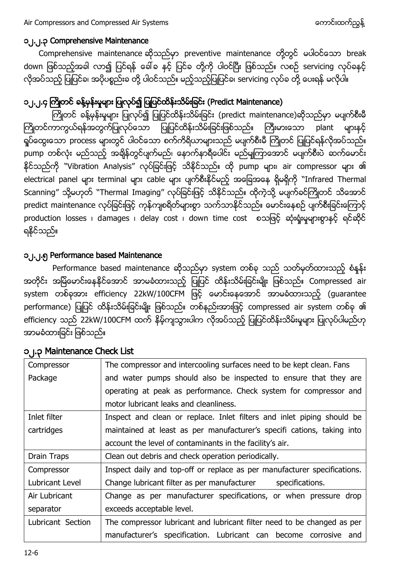#### ၁၂.၂.၃ Comprehensive Maintenance

Comprehensive maintenance ဆိုသည်မှာ preventive maintenance တို့တွင် မပါဝင်သော break down ဖြစ်သည့်အခါ လာ၍ ပြင်ရန် ခေါ်ခ နှင့် ပြင်ခ တို့ကို ပါဝင်ပြီး ဖြစ်သည်။ လစဉ် servicing လုပ်ခနှင့် လိုအပ်သည့် ပြုပြင်ခ၊ အပိုပစ္စည်းခ တို့ ပါဝင်သည်။ မည့်သည့်ပြုပြင်ခ၊ servicing လုပ်ခ တို့ ပေးရန် မလိုပါ။

# ၁၂.၂.၄ ကြိုတင် ခန့်မှန်းမှုများ ပြုလုပ်၍ ပြုပြင်ထိန်းသိမ်းခြင်း (Predict Maintenance)

ကြိုတင် ခန့်မှန်းမှုများ ပြုလုပ်၍ ပြုပြင်ထိန်းသိမ်းခြင်း (predict maintenance)ဆိုသည်မှာ မပျက်စီးမီ ကြိုတင်ကာကွယ်ရန်အတွက်ပြုလုပ်သော ပြုပြင်ထိန်းသိမ်းခြင်းဖြစ်သည်။ ကြီးမားသော plant များနှင့် ရှုပ်ထွေးသော process များတွင် ပါဝင်သော စက်ကိရိယာများသည် မပျက်စီးမီ ကြိုတင် ပြုပြင်ရန်လိုအပ်သည်။ pump တစ်လုံး မည်သည့် အချိန်တွင်ပျက်မည်၊ နောက်နာရီပေါင်း မည်မျကြာအောင် မပျက်စီးပဲ ဆက်မောင်း နိုင်သည်ကို ``Vibration Analysis" လုပ်ခြင်းဖြင့် သိနိုင်သည်။ ထို pump များ၊ air compressor များ ၏ electrical panel များ terminal များ cable များ ပျက်စီးနိုင်မည့် အခြေအနေ ရှိမရှိကို "Infrared Thermal Scanning" သို့မဟုတ် "Thermal Imaging" လုပ်ခြင်းဖြင့် သိနိုင်သည်။ ထိုကဲ့သို့ မပျက်ခင်ကြိုတင် သိအောင် predict maintenance လုပ်ခြင်းဖြင့် ကုန်ကျစရိတ်များစွာ သက်သာနိုင်သည်။ မောင်းနေစဉ် ပျက်စီးခြင်းကြောင့် production losses ၊ damages ၊ delay cost ၊ down time cost စသဖြင့် ဆုံးရုံးမှုများစွာနှင့် ရင်ဆိုင် ရနိုင်သည်။

#### ၁၂.၂.၅ Performance based Maintenance

Performance based maintenance ဆိုသည်မှာ system တစ်ခု သည် သတ်မှတ်ထားသည့် စံနန်း အတိုင်း အမြဲမောင်းနေနိုင်အောင် အာမခံထားသည့် ပြုပြင် ထိန်းသိမ်းခြင်းမျိုး ဖြစ်သည်။ Compressed air system တစ်ခုအား efficiency 22kW/100CFM ဖြင့် မောင်းနေအောင် အာမခံထားသည့် (guarantee performance) ပြုပြင် ထိန်းသိမ်းခြင်းမျိုး ဖြစ်သည်။ တစ်နည်းအားဖြင့် compressed air system တစ်ခု ၏ efficiency သည် 22kW/100CFM ထက် နိမ့်ကျသွားပါက လိုအပ်သည့် ပြုပြင်ထိန်းသိမ်းမှုများ ပြုလုပ်ပါမည်ဟု အာမခံထားခြင်း ဖြစ်သည်။

| Compressor        | The compressor and intercooling surfaces need to be kept clean. Fans     |  |  |
|-------------------|--------------------------------------------------------------------------|--|--|
| Package           | and water pumps should also be inspected to ensure that they are         |  |  |
|                   | operating at peak as performance. Check system for compressor and        |  |  |
|                   | motor lubricant leaks and cleanliness.                                   |  |  |
| Inlet filter      | Inspect and clean or replace. Inlet filters and inlet piping should be   |  |  |
| cartridges        | maintained at least as per manufacturer's specifi cations, taking into   |  |  |
|                   | account the level of contaminants in the facility's air.                 |  |  |
| Drain Traps       | Clean out debris and check operation periodically.                       |  |  |
| Compressor        | Inspect daily and top-off or replace as per manufacturer specifications. |  |  |
| Lubricant Level   | Change lubricant filter as per manufacturer<br>specifications.           |  |  |
| Air Lubricant     | Change as per manufacturer specifications, or when pressure drop         |  |  |
| separator         | exceeds acceptable level.                                                |  |  |
| Lubricant Section | The compressor lubricant and lubricant filter need to be changed as per  |  |  |
|                   | manufacturer's specification. Lubricant can become corrosive and         |  |  |

#### ၁၂.၃ Maintenance Check List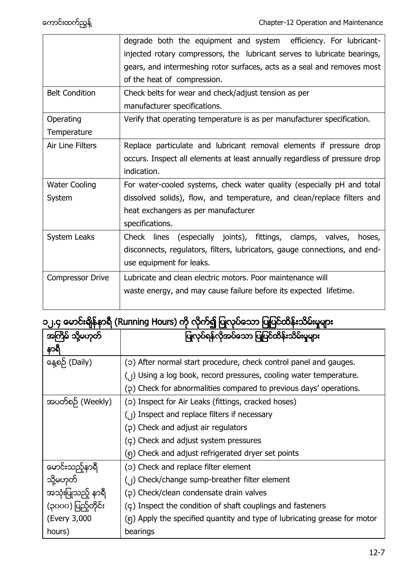|                       | degrade both the equipment and system efficiency. For lubricant-           |  |  |
|-----------------------|----------------------------------------------------------------------------|--|--|
|                       | injected rotary compressors, the lubricant serves to lubricate bearings,   |  |  |
|                       | gears, and intermeshing rotor surfaces, acts as a seal and removes most    |  |  |
|                       | of the heat of compression.                                                |  |  |
| <b>Belt Condition</b> | Check belts for wear and check/adjust tension as per                       |  |  |
|                       | manufacturer specifications.                                               |  |  |
| Operating             | Verify that operating temperature is as per manufacturer specification.    |  |  |
| Temperature           |                                                                            |  |  |
| Air Line Filters      | Replace particulate and lubricant removal elements if pressure drop        |  |  |
|                       | occurs. Inspect all elements at least annually regardless of pressure drop |  |  |
|                       | indication.                                                                |  |  |
| <b>Water Cooling</b>  | For water-cooled systems, check water quality (especially pH and total     |  |  |
| System                | dissolved solids), flow, and temperature, and clean/replace filters and    |  |  |
|                       | heat exchangers as per manufacturer                                        |  |  |
|                       | specifications.                                                            |  |  |
| System Leaks          | Check lines (especially joints), fittings, clamps, valves,<br>hoses,       |  |  |
|                       | disconnects, regulators, filters, lubricators, gauge connections, and end- |  |  |
|                       | use equipment for leaks.                                                   |  |  |
| Compressor Drive      | Lubricate and clean electric motors. Poor maintenance will                 |  |  |
|                       | waste energy, and may cause failure before its expected lifetime.          |  |  |
|                       |                                                                            |  |  |

# ၁၂.၄ မောင်းချိန်နာရီ (Running Hours) ကို လိုက်၍ ပြုလုပ်သော ပြုပြင်ထိန်းသိမ်းမှုများ

|                    | ပြုလုပ်ရန်လိုအပ်သော ပြုပြင်ထိန်းသိမ်းမှုများ                                          |
|--------------------|---------------------------------------------------------------------------------------|
| နာရ                |                                                                                       |
| နေ့စဉ် (Daily)     | (o) After normal start procedure, check control panel and gauges.                     |
|                    | (1) Using a log book, record pressures, cooling water temperature.                    |
|                    | (2) Check for abnormalities compared to previous days' operations.                    |
| အပတ်စဉ် (Weekly)   | (o) Inspect for Air Leaks (fittings, cracked hoses)                                   |
|                    | $\left(\begin{array}{c}\right  \end{array}$ Inspect and replace filters if necessary  |
|                    | (p) Check and adjust air regulators                                                   |
|                    | (c) Check and adjust system pressures                                                 |
|                    | (၅) Check and adjust refrigerated dryer set points                                    |
| မောင်းသည့်နာရီ     | (o) Check and replace filter element                                                  |
| သို့မဟုတ်          | $\left(\begin{array}{c}1\end{array}\right)$ Check/change sump-breather filter element |
| အသုံးပြုသည့် နာရီ  | (p) Check/clean condensate drain valves                                               |
| (၃၀၀၀) ပြည့်တိုင်း | $(c)$ Inspect the condition of shaft couplings and fasteners                          |
| (Every 3,000       | (၅) Apply the specified quantity and type of lubricating grease for motor             |
| hours)             | bearings                                                                              |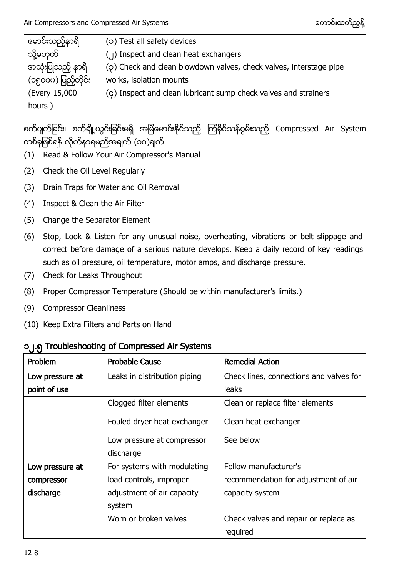| မောင်းသည့်နာရီ      | (c) Test all safety devices                                        |
|---------------------|--------------------------------------------------------------------|
| သို့မဟုတ်           | (1) Inspect and clean heat exchangers                              |
| အသုံးပြုသည့် နာရီ   | (2) Check and clean blowdown valves, check valves, interstage pipe |
| (၁၅၀၀၀) ပြည့်တိုင်း | works, isolation mounts                                            |
| (Every 15,000       | (ç) Inspect and clean lubricant sump check valves and strainers    |
| hours)              |                                                                    |

စက်ပျက်ခြင်း၊ စက်ချို့ယွင်းခြင်းမရှိ အမြဲမောင်းနိုင်သည့် ကြံခိုင်သန်စွမ်းသည့် Compressed Air System တစ်ခုဖြစ်ရန် လိုက်နာရမည်အချက် (၁၀)ချက်

- (1) Read & Follow Your Air Compressor's Manual
- (2) Check the Oil Level Regularly
- (3) Drain Traps for Water and Oil Removal
- (4) Inspect & Clean the Air Filter
- (5) Change the Separator Element
- (6) Stop, Look & Listen for any unusual noise, overheating, vibrations or belt slippage and correct before damage of a serious nature develops. Keep a daily record of key readings such as oil pressure, oil temperature, motor amps, and discharge pressure.
- (7) Check for Leaks Throughout
- (8) Proper Compressor Temperature (Should be within manufacturer's limits.)
- (9) Compressor Cleanliness
- (10) Keep Extra Filters and Parts on Hand

#### ၁၂.၅ Troubleshooting of Compressed Air Systems

| <b>Problem</b>  | <b>Probable Cause</b>        | <b>Remedial Action</b>                  |
|-----------------|------------------------------|-----------------------------------------|
| Low pressure at | Leaks in distribution piping | Check lines, connections and valves for |
| point of use    |                              | leaks                                   |
|                 | Clogged filter elements      | Clean or replace filter elements        |
|                 | Fouled dryer heat exchanger  | Clean heat exchanger                    |
|                 | Low pressure at compressor   | See below                               |
|                 | discharge                    |                                         |
| Low pressure at | For systems with modulating  | Follow manufacturer's                   |
| compressor      | load controls, improper      | recommendation for adjustment of air    |
| discharge       | adjustment of air capacity   | capacity system                         |
|                 | system                       |                                         |
|                 | Worn or broken valves        | Check valves and repair or replace as   |
|                 |                              | required                                |